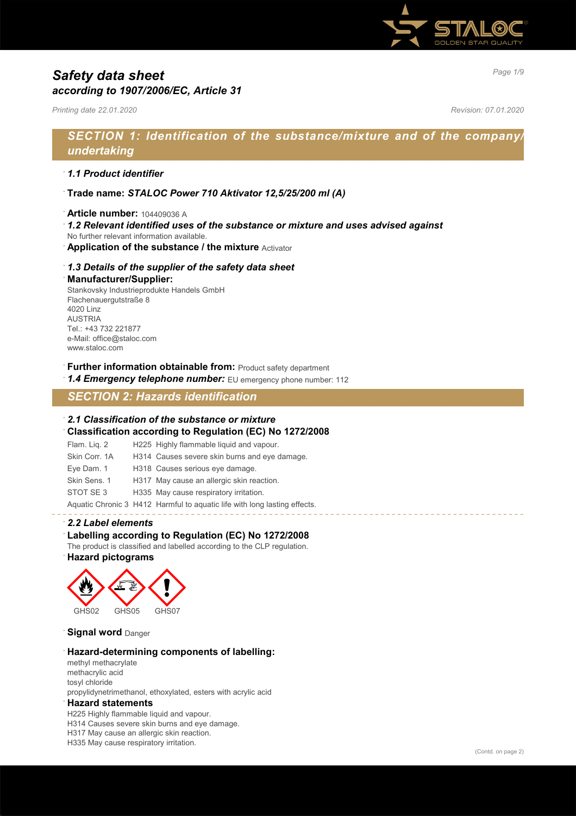

# *Page 1/9 Safety data sheet according to 1907/2006/EC, Article 31*

*Printing date 22.01.2020 Revision: 07.01.2020*

# *SECTION 1: Identification of the substance/mixture and of the company/ undertaking*

### · *1.1 Product identifier*

- · **Trade name:** *STALOC Power 710 Aktivator 12,5/25/200 ml (A)*
- · **Article number:** 104409036 A
- · *1.2 Relevant identified uses of the substance or mixture and uses advised against*
- No further relevant information available.
- **Application of the substance / the mixture** Activator

### · *1.3 Details of the supplier of the safety data sheet*

#### · **Manufacturer/Supplier:**

Stankovsky Industrieprodukte Handels GmbH Flachenauergutstraße 8 4020 Linz AUSTRIA Tel.: +43 732 221877 e-Mail: office@staloc.com www.staloc.com

- **Further information obtainable from:** Product safety department
- 1.4 **Emergency telephone number:** EU emergency phone number: 112

# *SECTION 2: Hazards identification*

### · *2.1 Classification of the substance or mixture*

· **Classification according to Regulation (EC) No 1272/2008**

| Flam. Lig. 2  | H225 Highly flammable liquid and vapour.                                  |
|---------------|---------------------------------------------------------------------------|
| Skin Corr, 1A | H314 Causes severe skin burns and eye damage.                             |
| Eye Dam. 1    | H318 Causes serious eye damage.                                           |
| Skin Sens, 1  | H317 May cause an allergic skin reaction.                                 |
| STOT SE3      | H335 May cause respiratory irritation.                                    |
|               | Aquatic Chronic 3 H412 Harmful to aquatic life with long lasting effects. |

### · *2.2 Label elements*

### · **Labelling according to Regulation (EC) No 1272/2008**

The product is classified and labelled according to the CLP regulation.

### · **Hazard pictograms**



**Signal word Danger** 

#### · **Hazard-determining components of labelling:**

methyl methacrylate methacrylic acid tosyl chloride propylidynetrimethanol, ethoxylated, esters with acrylic acid

#### · **Hazard statements**

H225 Highly flammable liquid and vapour. H314 Causes severe skin burns and eye damage. H317 May cause an allergic skin reaction. H335 May cause respiratory irritation.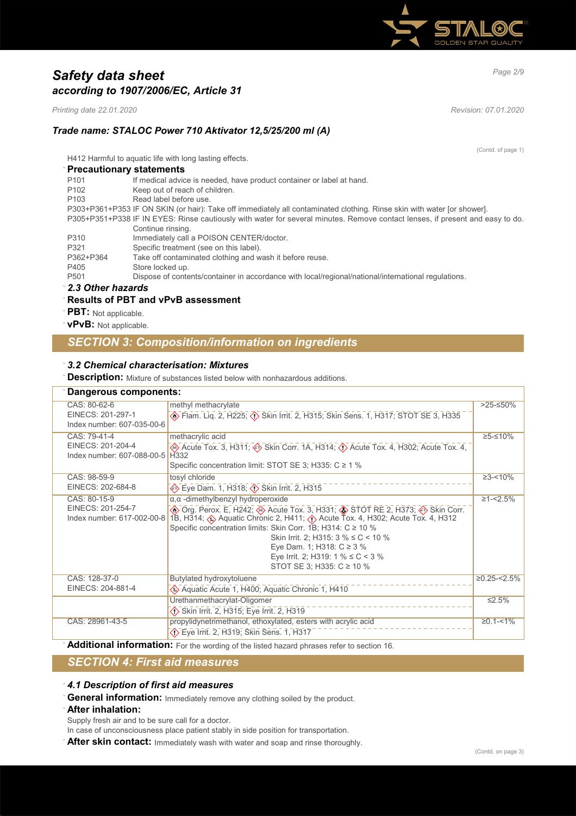

# *Page 2/9 Safety data sheet according to 1907/2006/EC, Article 31*

*Printing date 22.01.2020 Revision: 07.01.2020*

(Contd. of page 1)

## *Trade name: STALOC Power 710 Aktivator 12,5/25/200 ml (A)*

H412 Harmful to aquatic life with long lasting effects.

| <b>Precautionary statements</b> |                                                                                                                               |
|---------------------------------|-------------------------------------------------------------------------------------------------------------------------------|
| P <sub>101</sub>                | If medical advice is needed, have product container or label at hand.                                                         |
| P <sub>102</sub>                | Keep out of reach of children.                                                                                                |
| P <sub>103</sub>                | Read label before use                                                                                                         |
|                                 | P303+P361+P353 IF ON SKIN (or hair): Take off immediately all contaminated clothing. Rinse skin with water [or shower].       |
|                                 | P305+P351+P338 IF IN EYES: Rinse cautiously with water for several minutes. Remove contact lenses, if present and easy to do. |
|                                 | Continue rinsing.                                                                                                             |
| P310                            | Immediately call a POISON CENTER/doctor.                                                                                      |
| P321                            | Specific treatment (see on this label).                                                                                       |
| P362+P364                       | Take off contaminated clothing and wash it before reuse.                                                                      |
| P405                            | Store locked up.                                                                                                              |
| P <sub>501</sub>                | Dispose of contents/container in accordance with local/regional/national/international regulations.                           |
| 0.004                           |                                                                                                                               |

· *2.3 Other hazards*

### · **Results of PBT and vPvB assessment**

· **PBT:** Not applicable.

· **vPvB:** Not applicable.

# *SECTION 3: Composition/information on ingredients*

### · *3.2 Chemical characterisation: Mixtures*

**Description:** Mixture of substances listed below with nonhazardous additions.

| Dangerous components:                                           |                                                                                                                                                                                                                                                                                                                                                                                                                                                |                  |
|-----------------------------------------------------------------|------------------------------------------------------------------------------------------------------------------------------------------------------------------------------------------------------------------------------------------------------------------------------------------------------------------------------------------------------------------------------------------------------------------------------------------------|------------------|
| CAS: 80-62-6<br>EINECS: 201-297-1<br>Index number: 607-035-00-6 | methyl methacrylate<br>Elam. Liq. 2, H225; (1) Skin Irrit. 2, H315; Skin Sens. 1, H317; STOT SE 3, H335                                                                                                                                                                                                                                                                                                                                        | $>25-50%$        |
| CAS: 79-41-4<br>EINECS: 201-204-4<br>Index number: 607-088-00-5 | methacrylic acid<br>Acute Tox. 3, H311; $\Leftrightarrow$ Skin Corr. 1A, H314; $\Leftrightarrow$ Acute Tox. 4, H302; Acute Tox. 4,<br>H <sub>332</sub><br>Specific concentration limit: STOT SE 3; H335: C ≥ 1 %                                                                                                                                                                                                                               | $≥5-≤10%$        |
| CAS: 98-59-9<br>EINECS: 202-684-8                               | tosyl chloride<br>Eye Dam. 1, H318; $\overline{\langle}$ Skin Irrit. 2, H315                                                                                                                                                                                                                                                                                                                                                                   | $\geq 3 - 10\%$  |
| CAS: 80-15-9<br>EINECS: 201-254-7<br>Index number: 617-002-00-8 | $\alpha$ , $\alpha$ -dimethylbenzyl hydroperoxide<br>The Org. Perox. E, H242; The Acute Tox. 3, H331; The TOT RE 2, H373; A Skin Corr. (4) Skin Corr. (5) Acute Tox. 3, H331; Corr. (5) Skin Corr. (6) Acute Tox. 4, H312<br>Specific concentration limits: Skin Corr. 1B; H314: $C \ge 10$ %<br>Skin Irrit. 2; H315: $3\%$ ≤ C < 10 %<br>Eye Dam. 1; H318: $C \ge 3$ %<br>Eye Irrit. 2; H319: 1 % $\leq$ C < 3 %<br>STOT SE 3; H335: C ≥ 10 % | $\geq 1 - 2.5\%$ |
| CAS: 128-37-0<br>EINECS: 204-881-4                              | Butylated hydroxytoluene<br>Aquatic Acute 1, H400; Aquatic Chronic 1, H410                                                                                                                                                                                                                                                                                                                                                                     | $≥0.25 - 5%$     |
|                                                                 | Urethanmethacrylat-Oligomer<br>Skin Irrit. 2, H315; Eye Irrit. 2, H319                                                                                                                                                                                                                                                                                                                                                                         | $\leq 2.5\%$     |
| CAS: 28961-43-5                                                 | propylidynetrimethanol, ethoxylated, esters with acrylic acid<br>◇ Eye Irrit. 2, H319; Skin Sens. 1, H317                                                                                                                                                                                                                                                                                                                                      | $≥0.1 - < 1\%$   |

Additional information: For the wording of the listed hazard phrases refer to section 16.

# *SECTION 4: First aid measures*

· *4.1 Description of first aid measures*

· **General information:** Immediately remove any clothing soiled by the product.

#### · **After inhalation:**

Supply fresh air and to be sure call for a doctor.

In case of unconsciousness place patient stably in side position for transportation.

· **After skin contact:** Immediately wash with water and soap and rinse thoroughly.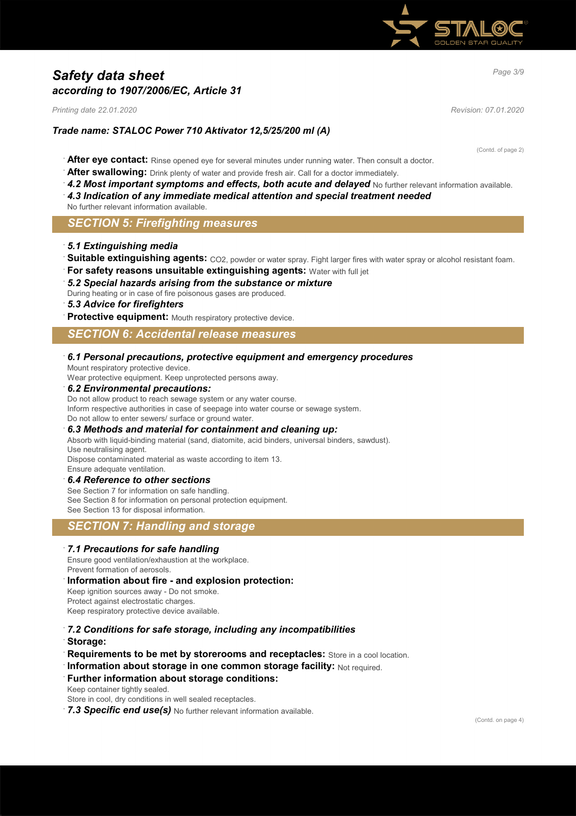

# *Page 3/9 Safety data sheet according to 1907/2006/EC, Article 31*

*Printing date 22.01.2020 Revision: 07.01.2020*

## *Trade name: STALOC Power 710 Aktivator 12,5/25/200 ml (A)*

(Contd. of page 2)

- · **After eye contact:** Rinse opened eye for several minutes under running water. Then consult a doctor.
- After swallowing: Drink plenty of water and provide fresh air. Call for a doctor immediately.
- 4.2 Most important symptoms and effects, both acute and delayed No further relevant information available.
- · *4.3 Indication of any immediate medical attention and special treatment needed*
- No further relevant information available.

## *SECTION 5: Firefighting measures*

#### · *5.1 Extinguishing media*

- Suitable extinguishing agents: CO2, powder or water spray. Fight larger fires with water spray or alcohol resistant foam.
- **For safety reasons unsuitable extinguishing agents: Water with full jet**

#### · *5.2 Special hazards arising from the substance or mixture*

During heating or in case of fire poisonous gases are produced.

### · *5.3 Advice for firefighters*

Protective equipment: Mouth respiratory protective device.

### *SECTION 6: Accidental release measures*

#### · *6.1 Personal precautions, protective equipment and emergency procedures*

Mount respiratory protective device.

Wear protective equipment. Keep unprotected persons away.

#### · *6.2 Environmental precautions:*

Do not allow product to reach sewage system or any water course. Inform respective authorities in case of seepage into water course or sewage system. Do not allow to enter sewers/ surface or ground water.

#### · *6.3 Methods and material for containment and cleaning up:*

Absorb with liquid-binding material (sand, diatomite, acid binders, universal binders, sawdust). Use neutralising agent.

Dispose contaminated material as waste according to item 13. Ensure adequate ventilation.

#### · *6.4 Reference to other sections*

See Section 7 for information on safe handling. See Section 8 for information on personal protection equipment. See Section 13 for disposal information.

## *SECTION 7: Handling and storage*

#### · *7.1 Precautions for safe handling*

Ensure good ventilation/exhaustion at the workplace. Prevent formation of aerosols.

#### · **Information about fire - and explosion protection:**

Keep ignition sources away - Do not smoke. Protect against electrostatic charges. Keep respiratory protective device available.

- · *7.2 Conditions for safe storage, including any incompatibilities*
- · **Storage:**
- **Requirements to be met by storerooms and receptacles:** Store in a cool location.
- **Information about storage in one common storage facility: Not required.**

#### **Further information about storage conditions:**

Keep container tightly sealed.

Store in cool, dry conditions in well sealed receptacles.

7.3 Specific end use(s) No further relevant information available.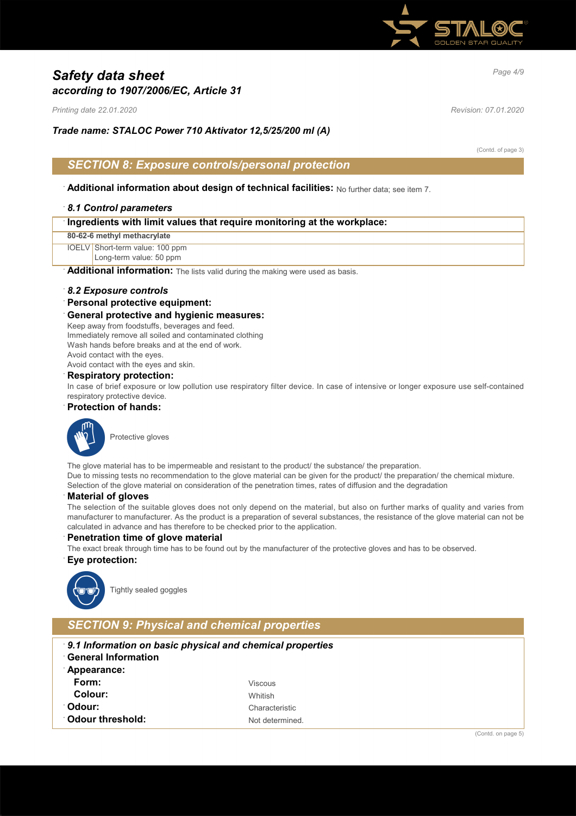

# *Page 4/9 Safety data sheet according to 1907/2006/EC, Article 31*

*Printing date 22.01.2020 Revision: 07.01.2020*

*Trade name: STALOC Power 710 Aktivator 12,5/25/200 ml (A)*

(Contd. of page 3)

## *SECTION 8: Exposure controls/personal protection*

· **Additional information about design of technical facilities:** No further data; see item 7.

### · *8.1 Control parameters*

| Ingredients with limit values that require monitoring at the workplace: |
|-------------------------------------------------------------------------|
|-------------------------------------------------------------------------|

**80-62-6 methyl methacrylate**

IOELV Short-term value: 100 ppm

Long-term value: 50 ppm

Additional information: The lists valid during the making were used as basis.

#### · *8.2 Exposure controls*

#### · **Personal protective equipment:**

#### · **General protective and hygienic measures:**

Keep away from foodstuffs, beverages and feed. Immediately remove all soiled and contaminated clothing Wash hands before breaks and at the end of work. Avoid contact with the eyes.

Avoid contact with the eyes and skin.

### · **Respiratory protection:**

In case of brief exposure or low pollution use respiratory filter device. In case of intensive or longer exposure use self-contained respiratory protective device.

### · **Protection of hands:**



Protective gloves

The glove material has to be impermeable and resistant to the product/ the substance/ the preparation. Due to missing tests no recommendation to the glove material can be given for the product/ the preparation/ the chemical mixture. Selection of the glove material on consideration of the penetration times, rates of diffusion and the degradation

#### · **Material of gloves**

The selection of the suitable gloves does not only depend on the material, but also on further marks of quality and varies from manufacturer to manufacturer. As the product is a preparation of several substances, the resistance of the glove material can not be calculated in advance and has therefore to be checked prior to the application.

#### **Penetration time of glove material**

The exact break through time has to be found out by the manufacturer of the protective gloves and has to be observed.

#### · **Eye protection:**



Tightly sealed goggles

## *SECTION 9: Physical and chemical properties*

- · *9.1 Information on basic physical and chemical properties*
- · **General Information**
- · **Appearance: Form:** Viscous **Colour:** Whitish **Odour:** Characteristic **Odour threshold:** Not determined.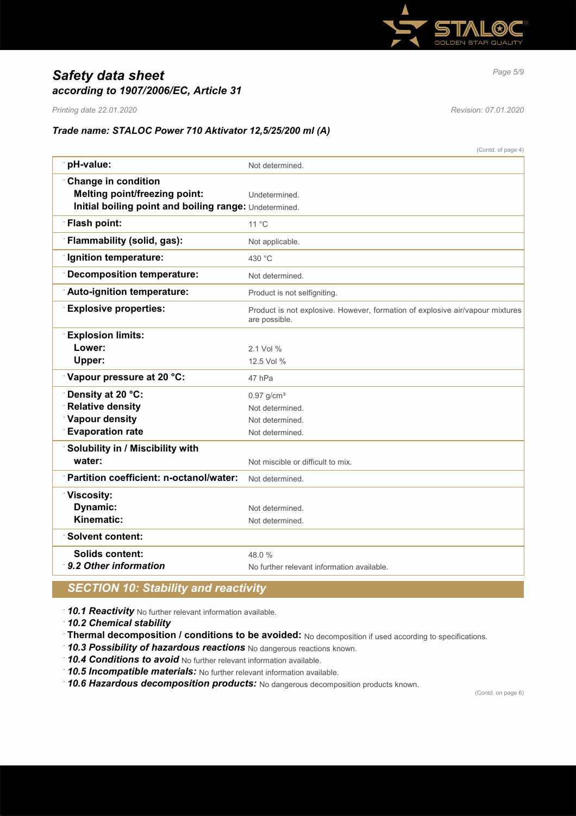

# *Page 5/9 Safety data sheet according to 1907/2006/EC, Article 31*

*Printing date 22.01.2020 Revision: 07.01.2020*

## *Trade name: STALOC Power 710 Aktivator 12,5/25/200 ml (A)*

|                                                        | (Contd. of page 4)                                                                             |
|--------------------------------------------------------|------------------------------------------------------------------------------------------------|
| pH-value:                                              | Not determined.                                                                                |
| <b>Change in condition</b>                             |                                                                                                |
| <b>Melting point/freezing point:</b>                   | Undetermined.                                                                                  |
| Initial boiling point and boiling range: Undetermined. |                                                                                                |
| Flash point:                                           | 11 °C                                                                                          |
| Flammability (solid, gas):                             | Not applicable.                                                                                |
| <b>Ignition temperature:</b>                           | 430 °C                                                                                         |
| <b>Decomposition temperature:</b>                      | Not determined.                                                                                |
| Auto-ignition temperature:                             | Product is not selfigniting.                                                                   |
| <b>Explosive properties:</b>                           | Product is not explosive. However, formation of explosive air/vapour mixtures<br>are possible. |
| <b>Explosion limits:</b>                               |                                                                                                |
| Lower:                                                 | 2.1 Vol %                                                                                      |
| Upper:                                                 | 12.5 Vol %                                                                                     |
| Vapour pressure at 20 °C:                              | 47 hPa                                                                                         |
| Density at 20 °C:                                      | $0.97$ g/cm <sup>3</sup>                                                                       |
| <b>Relative density</b>                                | Not determined.                                                                                |
| Vapour density                                         | Not determined.                                                                                |
| <b>Evaporation rate</b>                                | Not determined.                                                                                |
| Solubility in / Miscibility with                       |                                                                                                |
| water:                                                 | Not miscible or difficult to mix.                                                              |
| Partition coefficient: n-octanol/water:                | Not determined.                                                                                |
| <b>Viscosity:</b>                                      |                                                                                                |
| <b>Dynamic:</b>                                        | Not determined.                                                                                |
| Kinematic:                                             | Not determined.                                                                                |
| <b>Solvent content:</b>                                |                                                                                                |
| <b>Solids content:</b>                                 | 48.0%                                                                                          |
| 9.2 Other information                                  | No further relevant information available.                                                     |

## *SECTION 10: Stability and reactivity*

· *10.1 Reactivity* No further relevant information available.

· *10.2 Chemical stability*

· **Thermal decomposition / conditions to be avoided:** No decomposition if used according to specifications.

· *10.3 Possibility of hazardous reactions* No dangerous reactions known.

· *10.4 Conditions to avoid* No further relevant information available.

· *10.5 Incompatible materials:* No further relevant information available.

· *10.6 Hazardous decomposition products:* No dangerous decomposition products known.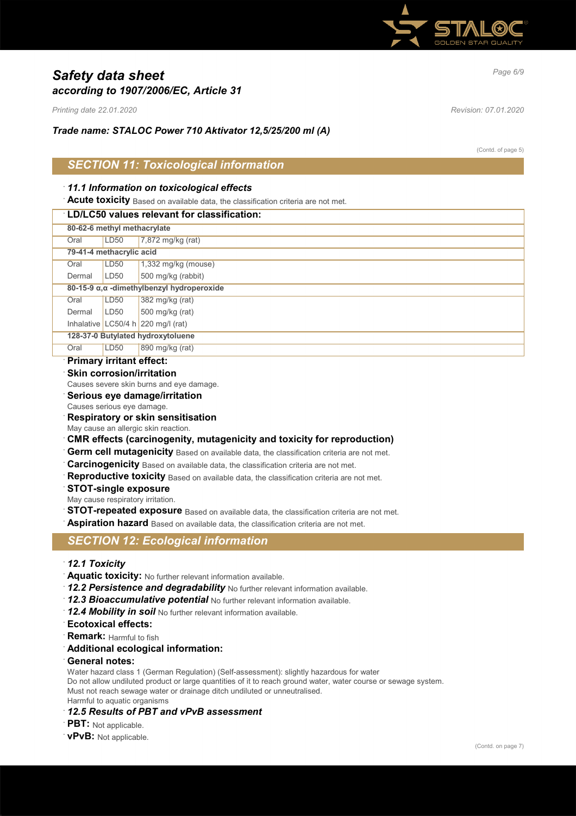

# *Page 6/9 Safety data sheet according to 1907/2006/EC, Article 31*

*Printing date 22.01.2020 Revision: 07.01.2020*

*Trade name: STALOC Power 710 Aktivator 12,5/25/200 ml (A)*

(Contd. of page 5)

## *SECTION 11: Toxicological information*

## · *11.1 Information on toxicological effects*

**Acute toxicity** Based on available data, the classification criteria are not met.

## · **LD/LC50 values relevant for classification:**

|                                   | 80-62-6 methyl methacrylate                |                                      |  |
|-----------------------------------|--------------------------------------------|--------------------------------------|--|
| Oral                              | LD50                                       | $7,872$ mg/kg (rat)                  |  |
|                                   | 79-41-4 methacrylic acid                   |                                      |  |
| Oral                              | LD50                                       | $1,332$ mg/kg (mouse)                |  |
| Dermal                            | LD <sub>50</sub>                           | 500 mg/kg (rabbit)                   |  |
|                                   | 80-15-9 α, α -dimethylbenzyl hydroperoxide |                                      |  |
| Oral                              | LD50                                       | $382 \text{ mg/kg}$ (rat)            |  |
| Dermal                            | LD50                                       | $500$ mg/kg (rat)                    |  |
|                                   |                                            | Inhalative LC50/4 h $220$ mg/l (rat) |  |
| 128-37-0 Butylated hydroxytoluene |                                            |                                      |  |
| Oral                              | LD50                                       | 890 mg/kg (rat)                      |  |
|                                   |                                            |                                      |  |

## · **Primary irritant effect:**

**Skin corrosion/irritation** 

Causes severe skin burns and eye damage.

- · **Serious eye damage/irritation**
- Causes serious eye damage.
- · **Respiratory or skin sensitisation**
- May cause an allergic skin reaction.
- · **CMR effects (carcinogenity, mutagenicity and toxicity for reproduction)**
- Germ cell mutagenicity Based on available data, the classification criteria are not met.
- **Carcinogenicity** Based on available data, the classification criteria are not met.
- Reproductive toxicity Based on available data, the classification criteria are not met.
- · **STOT-single exposure**
- May cause respiratory irritation.
- **STOT-repeated exposure** Based on available data, the classification criteria are not met.

Aspiration hazard Based on available data, the classification criteria are not met.

## *SECTION 12: Ecological information*

- · *12.1 Toxicity*
- · **Aquatic toxicity:** No further relevant information available.
- 12.2 Persistence and degradability No further relevant information available.
- · *12.3 Bioaccumulative potential* No further relevant information available.
- · *12.4 Mobility in soil* No further relevant information available.
- · **Ecotoxical effects:**
- **Remark:** Harmful to fish
- · **Additional ecological information:**
- · **General notes:**

Water hazard class 1 (German Regulation) (Self-assessment): slightly hazardous for water Do not allow undiluted product or large quantities of it to reach ground water, water course or sewage system. Must not reach sewage water or drainage ditch undiluted or unneutralised. Harmful to aquatic organisms

### · *12.5 Results of PBT and vPvB assessment*

- · **PBT:** Not applicable.
- · **vPvB:** Not applicable.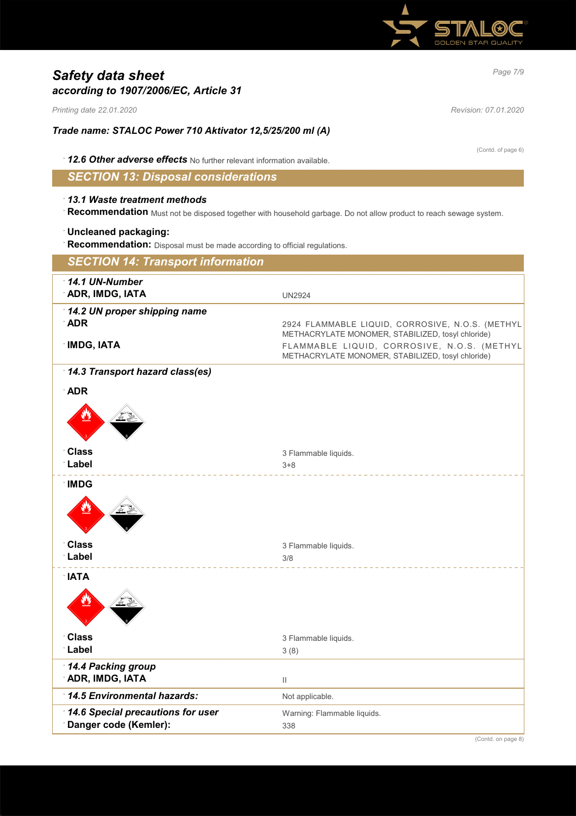

# *Page 7/9 Safety data sheet according to 1907/2006/EC, Article 31*

*Printing date 22.01.2020 Revision: 07.01.2020*

*Trade name: STALOC Power 710 Aktivator 12,5/25/200 ml (A)*

(Contd. of page 6)

· *12.6 Other adverse effects* No further relevant information available.

*SECTION 13: Disposal considerations*

### · *13.1 Waste treatment methods*

· **Recommendation** Must not be disposed together with household garbage. Do not allow product to reach sewage system.

### · **Uncleaned packaging:**

· **Recommendation:** Disposal must be made according to official regulations.

| <b>SECTION 14: Transport information</b>                        |                                                                                                                                                                                                           |
|-----------------------------------------------------------------|-----------------------------------------------------------------------------------------------------------------------------------------------------------------------------------------------------------|
| 14.1 UN-Number<br>ADR, IMDG, IATA                               | <b>UN2924</b>                                                                                                                                                                                             |
| 14.2 UN proper shipping name<br><b>ADR</b><br><b>IMDG, IATA</b> | 2924 FLAMMABLE LIQUID, CORROSIVE, N.O.S. (METHYL<br>METHACRYLATE MONOMER, STABILIZED, tosyl chloride)<br>FLAMMABLE LIQUID, CORROSIVE, N.O.S. (METHYL<br>METHACRYLATE MONOMER, STABILIZED, tosyl chloride) |
| 14.3 Transport hazard class(es)                                 |                                                                                                                                                                                                           |
| · ADR                                                           |                                                                                                                                                                                                           |
|                                                                 |                                                                                                                                                                                                           |
| <b>Class</b>                                                    | 3 Flammable liquids.                                                                                                                                                                                      |
| Label                                                           | $3 + 8$                                                                                                                                                                                                   |
| <b>IMDG</b>                                                     |                                                                                                                                                                                                           |
| <b>Class</b>                                                    | 3 Flammable liquids.                                                                                                                                                                                      |
| Label                                                           | 3/8                                                                                                                                                                                                       |
| <b>NATA</b>                                                     |                                                                                                                                                                                                           |
| <b>Class</b>                                                    | 3 Flammable liquids.                                                                                                                                                                                      |
| Label                                                           | 3(8)                                                                                                                                                                                                      |
| 14.4 Packing group<br><b>ADR, IMDG, IATA</b>                    | $\mathbf{H}$                                                                                                                                                                                              |
| 14.5 Environmental hazards:                                     | Not applicable.                                                                                                                                                                                           |
| 14.6 Special precautions for user<br>Danger code (Kemler):      | Warning: Flammable liquids.<br>338                                                                                                                                                                        |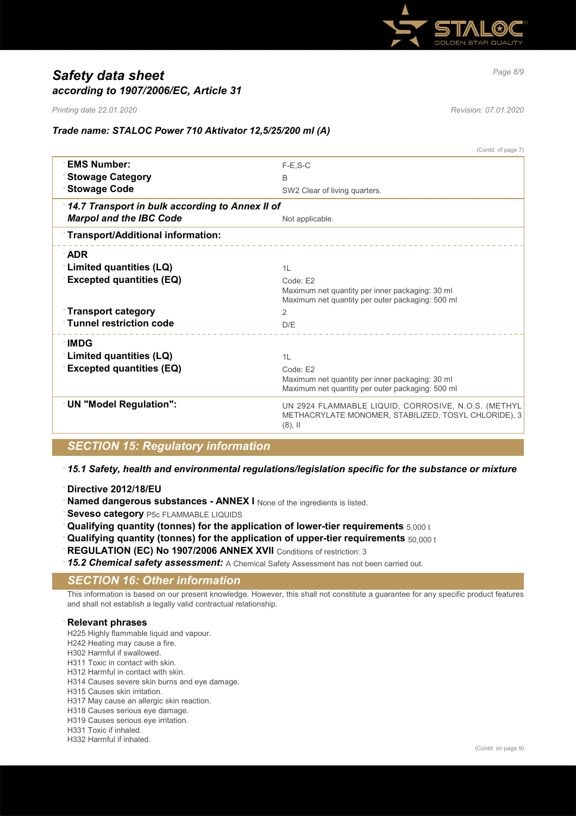

# *Page 8/9 Safety data sheet according to 1907/2006/EC, Article 31*

*Printing date 22.01.2020 Revision: 07.01.2020*

(Contd. of page 7)

## *Trade name: STALOC Power 710 Aktivator 12,5/25/200 ml (A)*

|                                                 | (Conia. or page 7)                                                                                                        |
|-------------------------------------------------|---------------------------------------------------------------------------------------------------------------------------|
| <b>EMS Number:</b>                              | $F-E.S-C$                                                                                                                 |
| <b>Stowage Category</b>                         | <sub>B</sub>                                                                                                              |
| <b>Stowage Code</b>                             | SW2 Clear of living quarters.                                                                                             |
| 14.7 Transport in bulk according to Annex II of |                                                                                                                           |
| <b>Marpol and the IBC Code</b>                  | Not applicable.                                                                                                           |
| Transport/Additional information:               |                                                                                                                           |
| <b>ADR</b>                                      |                                                                                                                           |
| Limited quantities (LQ)                         | 1L                                                                                                                        |
| <b>Excepted quantities (EQ)</b>                 | Code: E2                                                                                                                  |
|                                                 | Maximum net quantity per inner packaging: 30 ml                                                                           |
|                                                 | Maximum net quantity per outer packaging: 500 ml                                                                          |
| <b>Transport category</b>                       | $\overline{2}$                                                                                                            |
| <b>Tunnel restriction code</b>                  | D/E                                                                                                                       |
| ∴IMDG                                           |                                                                                                                           |
| Limited quantities (LQ)                         | 1L                                                                                                                        |
| <b>Excepted quantities (EQ)</b>                 | Code: E2                                                                                                                  |
|                                                 | Maximum net quantity per inner packaging: 30 ml                                                                           |
|                                                 | Maximum net quantity per outer packaging: 500 ml                                                                          |
| <b>UN "Model Regulation":</b>                   | UN 2924 FLAMMABLE LIQUID, CORROSIVE, N.O.S. (METHYL<br>METHACRYLATE MONOMER, STABILIZED, TOSYL CHLORIDE), 3<br>$(8)$ , II |
|                                                 |                                                                                                                           |

## *SECTION 15: Regulatory information*

### · *15.1 Safety, health and environmental regulations/legislation specific for the substance or mixture*

- · **Directive 2012/18/EU**
- Named dangerous substances ANNEX I None of the ingredients is listed.
- **Seveso category** P5c FLAMMABLE LIQUIDS
- · **Qualifying quantity (tonnes) for the application of lower-tier requirements** 5,000 t
- · **Qualifying quantity (tonnes) for the application of upper-tier requirements** 50,000 t
- **REGULATION (EC) No 1907/2006 ANNEX XVII** Conditions of restriction: 3
- · *15.2 Chemical safety assessment:* A Chemical Safety Assessment has not been carried out.

## *SECTION 16: Other information*

This information is based on our present knowledge. However, this shall not constitute a guarantee for any specific product features and shall not establish a legally valid contractual relationship.

### · **Relevant phrases**

H225 Highly flammable liquid and vapour.

- H242 Heating may cause a fire.
- H302 Harmful if swallowed.
- H311 Toxic in contact with skin.
- H312 Harmful in contact with skin.
- H314 Causes severe skin burns and eye damage. H315 Causes skin irritation.
- H317 May cause an allergic skin reaction.
- H318 Causes serious eye damage.
- H319 Causes serious eye irritation.
- H331 Toxic if inhaled.
- H332 Harmful if inhaled.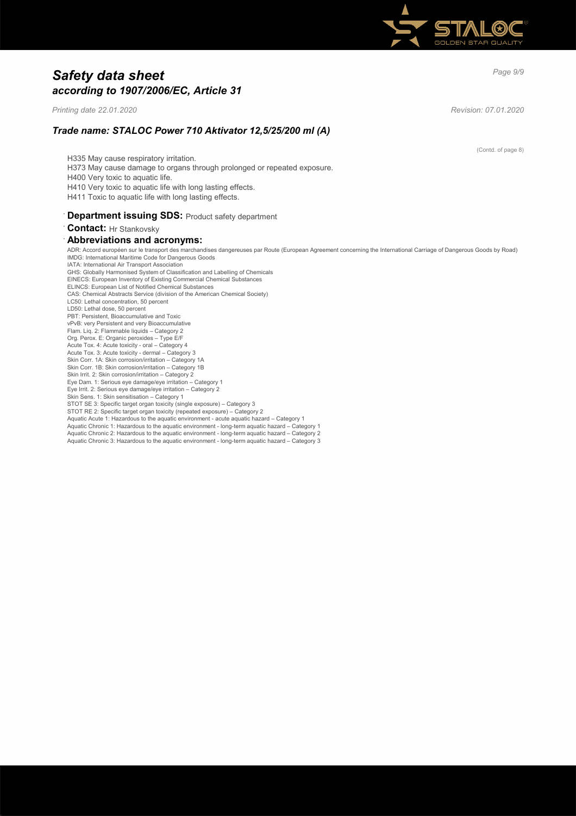

# *Page 9/9 Safety data sheet according to 1907/2006/EC, Article 31*

*Printing date 22.01.2020 Revision: 07.01.2020*

(Contd. of page 8)

*Trade name: STALOC Power 710 Aktivator 12,5/25/200 ml (A)*

H335 May cause respiratory irritation. H373 May cause damage to organs through prolonged or repeated exposure. H400 Very toxic to aquatic life. H410 Very toxic to aquatic life with long lasting effects. H411 Toxic to aquatic life with long lasting effects. **Department issuing SDS: Product safety department** · **Contact:** Hr Stankovsky

# · **Abbreviations and acronyms:**

ADR: Accord européen sur le transport des marchandises dangereuses par Route (European Agreement concerning the International Carriage of Dangerous Goods by Road) IMDG: International Maritime Code for Dangerous Goods IATA: International Air Transport Association GHS: Globally Harmonised System of Classification and Labelling of Chemicals EINECS: European Inventory of Existing Commercial Chemical Substances ELINCS: European List of Notified Chemical Substances CAS: Chemical Abstracts Service (division of the American Chemical Society) LC50: Lethal concentration, 50 percent LD50: Lethal dose, 50 percent PBT: Persistent, Bioaccumulative and Toxic vPvB: very Persistent and very Bioaccumulative Flam. Liq. 2: Flammable liquids – Category 2 Org. Perox. E: Organic peroxides – Type E/F Acute Tox. 4: Acute toxicity - oral – Category 4 Acute Tox. 3: Acute toxicity - dermal – Category 3 Skin Corr. 1A: Skin corrosion/irritation – Category 1A Skin Corr. 1B: Skin corrosion/irritation – Category 1B Skin Irrit. 2: Skin corrosion/irritation - Category 2 Eye Dam. 1: Serious eye damage/eye irritation – Category 1 Eye Irrit. 2: Serious eye damage/eye irritation – Category 2 Skin Sens. 1: Skin sensitisation – Category 1 STOT SE 3: Specific target organ toxicity (single exposure) – Category 3 STOT RE 2: Specific target organ toxicity (repeated exposure) – Category 2 Aquatic Acute 1: Hazardous to the aquatic environment - acute aquatic hazard – Category 1 Aquatic Chronic 1: Hazardous to the aquatic environment - long-term aquatic hazard – Category 1 Aquatic Chronic 2: Hazardous to the aquatic environment - long-term aquatic hazard – Category 2 Aquatic Chronic 3: Hazardous to the aquatic environment - long-term aquatic hazard – Category 3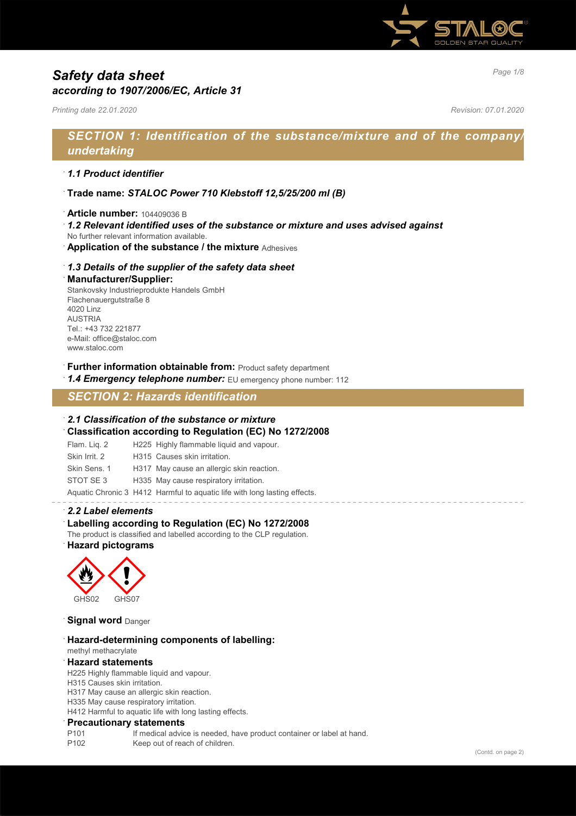

# *Page 1/8 Safety data sheet according to 1907/2006/EC, Article 31*

*Printing date 22.01.2020 Revision: 07.01.2020*

# *SECTION 1: Identification of the substance/mixture and of the company/ undertaking*

### · *1.1 Product identifier*

- · **Trade name:** *STALOC Power 710 Klebstoff 12,5/25/200 ml (B)*
- · **Article number:** 104409036 B
- · *1.2 Relevant identified uses of the substance or mixture and uses advised against*
- No further relevant information available.
- · **Application of the substance / the mixture** Adhesives

### · *1.3 Details of the supplier of the safety data sheet*

#### · **Manufacturer/Supplier:**

Stankovsky Industrieprodukte Handels GmbH Flachenauergutstraße 8 4020 Linz AUSTRIA Tel.: +43 732 221877 e-Mail: office@staloc.com www.staloc.com

- **Further information obtainable from:** Product safety department
- 1.4 **Emergency telephone number:** EU emergency phone number: 112

# *SECTION 2: Hazards identification*

#### · *2.1 Classification of the substance or mixture*

- · **Classification according to Regulation (EC) No 1272/2008**
- Flam. Liq. 2 H225 Highly flammable liquid and vapour.
- Skin Irrit. 2 H315 Causes skin irritation.
- Skin Sens. 1 H317 May cause an allergic skin reaction.
- STOT SE 3 H335 May cause respiratory irritation.

Aquatic Chronic 3 H412 Harmful to aquatic life with long lasting effects.

### · *2.2 Label elements*

### Labelling according to Regulation (EC) No 1272/2008

The product is classified and labelled according to the CLP regulation. · **Hazard pictograms**



**Signal word** Danger

· **Hazard-determining components of labelling:** methyl methacrylate

## · **Hazard statements**

H225 Highly flammable liquid and vapour.

- H315 Causes skin irritation.
- H317 May cause an allergic skin reaction.
- H335 May cause respiratory irritation.

H412 Harmful to aquatic life with long lasting effects.

#### · **Precautionary statements**

- P101 If medical advice is needed, have product container or label at hand.
- P102 Keep out of reach of children.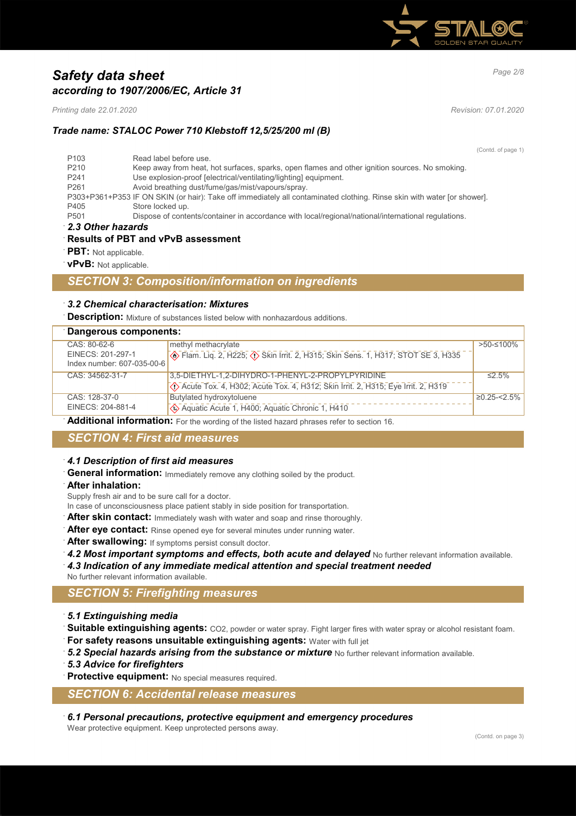

# *Page 2/8 Safety data sheet according to 1907/2006/EC, Article 31*

*Printing date 22.01.2020 Revision: 07.01.2020*

## *Trade name: STALOC Power 710 Klebstoff 12,5/25/200 ml (B)*

(Contd. of page 1)

| 2.3 Other hazards |                                                                                                                         |  |
|-------------------|-------------------------------------------------------------------------------------------------------------------------|--|
| P <sub>501</sub>  | Dispose of contents/container in accordance with local/regional/national/international regulations.                     |  |
| P405              | Store locked up.                                                                                                        |  |
|                   | P303+P361+P353 IF ON SKIN (or hair): Take off immediately all contaminated clothing. Rinse skin with water [or shower]. |  |
| P <sub>261</sub>  | Avoid breathing dust/fume/gas/mist/vapours/spray.                                                                       |  |
| P <sub>241</sub>  | Use explosion-proof [electrical/ventilating/lighting] equipment.                                                        |  |
| P <sub>210</sub>  | Keep away from heat, hot surfaces, sparks, open flames and other ignition sources. No smoking.                          |  |
| P <sub>103</sub>  | Read label before use.                                                                                                  |  |

### · **Results of PBT and vPvB assessment**

- · **PBT:** Not applicable.
- · **vPvB:** Not applicable.

## *SECTION 3: Composition/information on ingredients*

### · *3.2 Chemical characterisation: Mixtures*

· **Description:** Mixture of substances listed below with nonhazardous additions.

| Dangerous components:      |                                                                                        |                   |
|----------------------------|----------------------------------------------------------------------------------------|-------------------|
| CAS: 80-62-6               | methyl methacrylate                                                                    | >50-≤100%         |
| EINECS: 201-297-1          | <b>Example 2, H225; 4&gt; Skin Irrit. 2, H315; Skin Sens. 1, H317; STOT SE 3, H335</b> |                   |
| Index number: 607-035-00-6 |                                                                                        |                   |
| CAS: 34562-31-7            | 3,5-DIETHYL-1,2-DIHYDRO-1-PHENYL-2-PROPYLPYRIDINE                                      | $\leq$ 5%         |
|                            | ◇ Acute Tox. 4, H302; Acute Tox. 4, H312; Skin Irrit. 2, H315; Eye Irrit. 2, H319      |                   |
| CAS: 128-37-0              | Butylated hydroxytoluene                                                               | $\geq$ 0.25-<2.5% |
| EINECS: 204-881-4          | Aquatic Acute 1, H400; Aquatic Chronic 1, H410                                         |                   |

· **Additional information:** For the wording of the listed hazard phrases refer to section 16.

## *SECTION 4: First aid measures*

### · *4.1 Description of first aid measures*

General information: Immediately remove any clothing soiled by the product.

· **After inhalation:**

Supply fresh air and to be sure call for a doctor.

- In case of unconsciousness place patient stably in side position for transportation.
- After skin contact: Immediately wash with water and soap and rinse thoroughly.
- After eye contact: Rinse opened eye for several minutes under running water.
- After swallowing: If symptoms persist consult doctor.
- 4.2 Most important symptoms and effects, both acute and delayed No further relevant information available.
- · *4.3 Indication of any immediate medical attention and special treatment needed*
- No further relevant information available.

## *SECTION 5: Firefighting measures*

- · *5.1 Extinguishing media*
- Suitable extinguishing agents: CO2, powder or water spray. Fight larger fires with water spray or alcohol resistant foam.
- · **For safety reasons unsuitable extinguishing agents:** Water with full jet
- **5.2 Special hazards arising from the substance or mixture** No further relevant information available.
- · *5.3 Advice for firefighters*
- **Protective equipment:** No special measures required.

## *SECTION 6: Accidental release measures*

· *6.1 Personal precautions, protective equipment and emergency procedures*

Wear protective equipment. Keep unprotected persons away.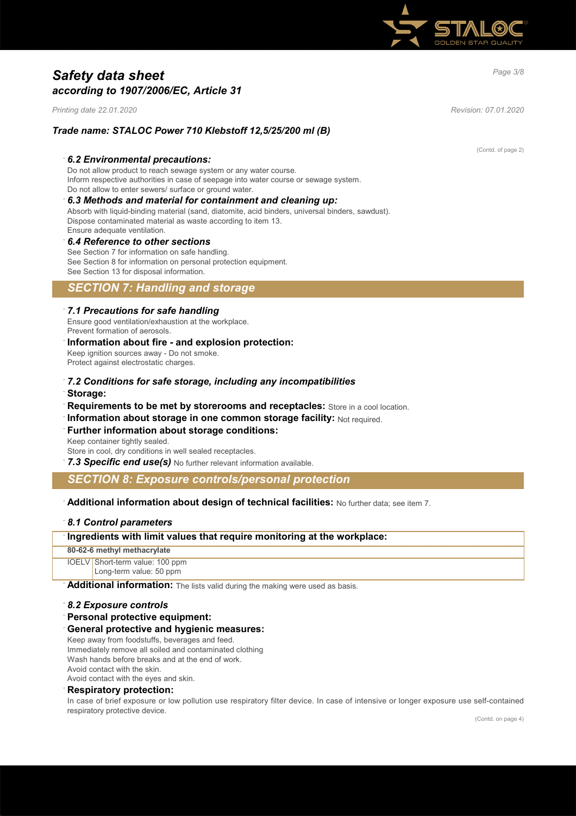

# *Page 3/8 Safety data sheet according to 1907/2006/EC, Article 31*

*Printing date 22.01.2020 Revision: 07.01.2020*

### *Trade name: STALOC Power 710 Klebstoff 12,5/25/200 ml (B)*

#### · *6.2 Environmental precautions:*

Do not allow product to reach sewage system or any water course. Inform respective authorities in case of seepage into water course or sewage system. Do not allow to enter sewers/ surface or ground water.

## · *6.3 Methods and material for containment and cleaning up:*

Absorb with liquid-binding material (sand, diatomite, acid binders, universal binders, sawdust). Dispose contaminated material as waste according to item 13. Ensure adequate ventilation.

#### · *6.4 Reference to other sections* See Section 7 for information on safe handling.

See Section 8 for information on personal protection equipment. See Section 13 for disposal information.

## *SECTION 7: Handling and storage*

#### · *7.1 Precautions for safe handling*

Ensure good ventilation/exhaustion at the workplace. Prevent formation of aerosols.

#### · **Information about fire - and explosion protection:** Keep ignition sources away - Do not smoke. Protect against electrostatic charges.

- · *7.2 Conditions for safe storage, including any incompatibilities* · **Storage:**
- · **Requirements to be met by storerooms and receptacles:** Store in a cool location.
- **Information about storage in one common storage facility: Not required.**

# **Further information about storage conditions:**

Keep container tightly sealed. Store in cool, dry conditions in well sealed receptacles.

· *7.3 Specific end use(s)* No further relevant information available.

## *SECTION 8: Exposure controls/personal protection*

### · **Additional information about design of technical facilities:** No further data; see item 7.

### · *8.1 Control parameters*

## · **Ingredients with limit values that require monitoring at the workplace:**

**80-62-6 methyl methacrylate**

IOELV Short-term value: 100 ppm Long-term value: 50 ppm

Additional information: The lists valid during the making were used as basis.

#### · *8.2 Exposure controls*

· **Personal protective equipment:**

#### · **General protective and hygienic measures:**

Keep away from foodstuffs, beverages and feed. Immediately remove all soiled and contaminated clothing Wash hands before breaks and at the end of work. Avoid contact with the skin.

Avoid contact with the eyes and skin.

## · **Respiratory protection:**

In case of brief exposure or low pollution use respiratory filter device. In case of intensive or longer exposure use self-contained respiratory protective device.

(Contd. of page 2)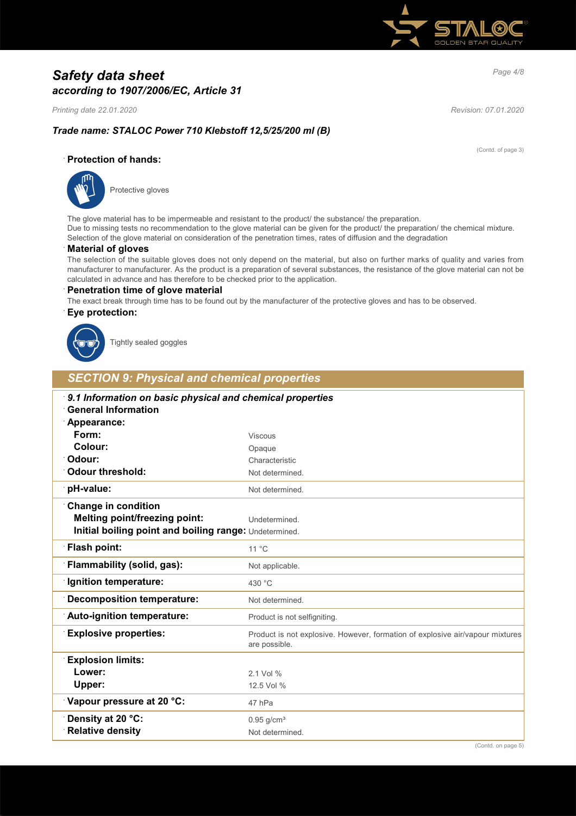

# *Page 4/8 Safety data sheet according to 1907/2006/EC, Article 31*

*Printing date 22.01.2020 Revision: 07.01.2020*

(Contd. of page 3)

## *Trade name: STALOC Power 710 Klebstoff 12,5/25/200 ml (B)*

### · **Protection of hands:**



Protective gloves

The glove material has to be impermeable and resistant to the product/ the substance/ the preparation. Due to missing tests no recommendation to the glove material can be given for the product/ the preparation/ the chemical mixture. Selection of the glove material on consideration of the penetration times, rates of diffusion and the degradation

### · **Material of gloves**

The selection of the suitable gloves does not only depend on the material, but also on further marks of quality and varies from manufacturer to manufacturer. As the product is a preparation of several substances, the resistance of the glove material can not be calculated in advance and has therefore to be checked prior to the application.

#### · **Penetration time of glove material**

The exact break through time has to be found out by the manufacturer of the protective gloves and has to be observed.

### · **Eye protection:**



Tightly sealed goggles

## *SECTION 9: Physical and chemical properties*

| 9.1 Information on basic physical and chemical properties<br><b>General Information</b> |                                                                                                |
|-----------------------------------------------------------------------------------------|------------------------------------------------------------------------------------------------|
| Appearance:                                                                             |                                                                                                |
| Form:                                                                                   | <b>Viscous</b>                                                                                 |
| Colour:                                                                                 | Opaque                                                                                         |
| Odour:                                                                                  | Characteristic                                                                                 |
| <b>Odour threshold:</b>                                                                 | Not determined.                                                                                |
| pH-value:                                                                               | Not determined.                                                                                |
| <b>Change in condition</b>                                                              |                                                                                                |
| <b>Melting point/freezing point:</b>                                                    | Undetermined.                                                                                  |
| Initial boiling point and boiling range: Undetermined.                                  |                                                                                                |
| Flash point:                                                                            | $11^{\circ}$ C                                                                                 |
| Flammability (solid, gas):                                                              | Not applicable.                                                                                |
| Ignition temperature:                                                                   | 430 °C                                                                                         |
| <b>Decomposition temperature:</b>                                                       | Not determined.                                                                                |
| Auto-ignition temperature:                                                              | Product is not selfigniting.                                                                   |
| <b>Explosive properties:</b>                                                            | Product is not explosive. However, formation of explosive air/vapour mixtures<br>are possible. |
| <b>Explosion limits:</b>                                                                |                                                                                                |
| Lower:                                                                                  | 2.1 Vol %                                                                                      |
| Upper:                                                                                  | 12.5 Vol %                                                                                     |
| Vapour pressure at 20 °C:                                                               | 47 hPa                                                                                         |
| Density at 20 °C:                                                                       | $0.95$ g/cm <sup>3</sup>                                                                       |
| <b>Relative density</b>                                                                 | Not determined.                                                                                |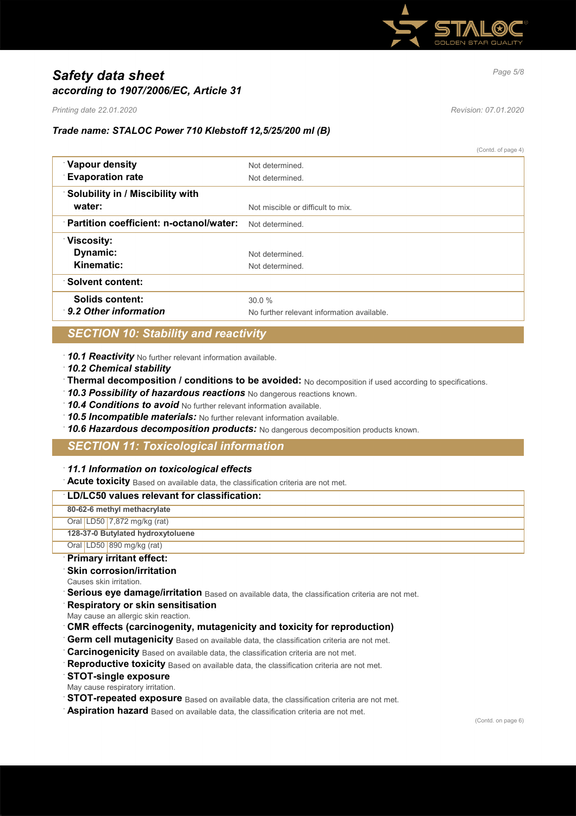

# *Page 5/8 Safety data sheet according to 1907/2006/EC, Article 31*

*Printing date 22.01.2020 Revision: 07.01.2020*

## *Trade name: STALOC Power 710 Klebstoff 12,5/25/200 ml (B)*

(Contd. of page 4)

| <b>Vapour density</b>                   | Not determined                             |
|-----------------------------------------|--------------------------------------------|
| <b>Evaporation rate</b>                 | Not determined.                            |
| <b>Solubility in / Miscibility with</b> |                                            |
| water:                                  | Not miscible or difficult to mix.          |
| Partition coefficient: n-octanol/water: | Not determined                             |
| <b>Viscosity:</b>                       |                                            |
| Dynamic:                                | Not determined                             |
| Kinematic:                              | Not determined                             |
| <b>Solvent content:</b>                 |                                            |
| Solids content:                         | 30.0%                                      |
| 9.2 Other information                   | No further relevant information available. |

# *SECTION 10: Stability and reactivity*

· *10.1 Reactivity* No further relevant information available.

- · *10.2 Chemical stability*
- · **Thermal decomposition / conditions to be avoided:** No decomposition if used according to specifications.
- · *10.3 Possibility of hazardous reactions* No dangerous reactions known.
- · *10.4 Conditions to avoid* No further relevant information available.
- · *10.5 Incompatible materials:* No further relevant information available.
- · *10.6 Hazardous decomposition products:* No dangerous decomposition products known.

## *SECTION 11: Toxicological information*

### · *11.1 Information on toxicological effects*

· **Acute toxicity** Based on available data, the classification criteria are not met.

## · **LD/LC50 values relevant for classification: 80-62-6 methyl methacrylate** Oral LD50 7,872 mg/kg (rat) **128-37-0 Butylated hydroxytoluene** Oral LD50 890 mg/kg (rat)

· **Primary irritant effect:**

### **Skin corrosion/irritation**

- Causes skin irritation.
- **Serious eye damage/irritation** Based on available data, the classification criteria are not met.
- · **Respiratory or skin sensitisation**
- May cause an allergic skin reaction.
- · **CMR effects (carcinogenity, mutagenicity and toxicity for reproduction)**
- Germ cell mutagenicity Based on available data, the classification criteria are not met.
- **Carcinogenicity** Based on available data, the classification criteria are not met.
- **Reproductive toxicity** Based on available data, the classification criteria are not met.
- · **STOT-single exposure**
- May cause respiratory irritation.
- **STOT-repeated exposure** Based on available data, the classification criteria are not met.
- · **Aspiration hazard** Based on available data, the classification criteria are not met.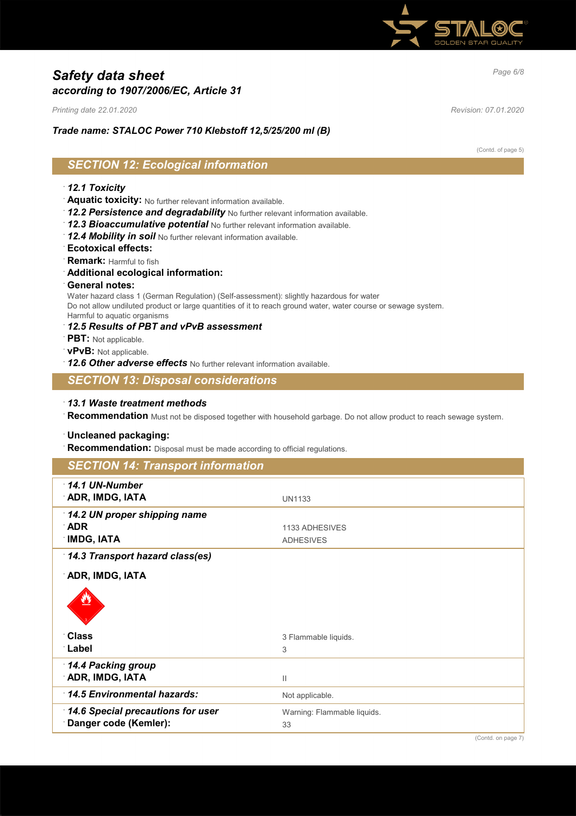

# *Page 6/8 Safety data sheet according to 1907/2006/EC, Article 31*

*Printing date 22.01.2020 Revision: 07.01.2020*

## *Trade name: STALOC Power 710 Klebstoff 12,5/25/200 ml (B)*

(Contd. of page 5)

# *SECTION 12: Ecological information*

### · *12.1 Toxicity*

- · **Aquatic toxicity:** No further relevant information available.
- · *12.2 Persistence and degradability* No further relevant information available.
- · *12.3 Bioaccumulative potential* No further relevant information available.
- · *12.4 Mobility in soil* No further relevant information available.
- · **Ecotoxical effects:**
- · **Remark:** Harmful to fish
- · **Additional ecological information:**
- · **General notes:**

Water hazard class 1 (German Regulation) (Self-assessment): slightly hazardous for water Do not allow undiluted product or large quantities of it to reach ground water, water course or sewage system. Harmful to aquatic organisms

- · *12.5 Results of PBT and vPvB assessment*
- · **PBT:** Not applicable.
- · **vPvB:** Not applicable.
- · *12.6 Other adverse effects* No further relevant information available.

## *SECTION 13: Disposal considerations*

· *13.1 Waste treatment methods*

· **Recommendation** Must not be disposed together with household garbage. Do not allow product to reach sewage system.

### · **Uncleaned packaging:**

· **Recommendation:** Disposal must be made according to official regulations.

| <b>SECTION 14: Transport information</b>                  |                                    |
|-----------------------------------------------------------|------------------------------------|
| $\cdot$ 14.1 UN-Number<br>ADR, IMDG, IATA                 | <b>UN1133</b>                      |
| 14.2 UN proper shipping name<br>∴ADR<br><b>IMDG, IATA</b> | 1133 ADHESIVES<br><b>ADHESIVES</b> |
| 14.3 Transport hazard class(es)                           |                                    |
| ADR, IMDG, IATA                                           |                                    |
|                                                           |                                    |
| <b>∴Class</b>                                             | 3 Flammable liquids.               |
| ∴Label                                                    | 3                                  |
| 14.4 Packing group                                        |                                    |
| ADR, IMDG, IATA                                           | $\mathbf{  }$                      |
| 14.5 Environmental hazards:                               | Not applicable.                    |
| 14.6 Special precautions for user                         | Warning: Flammable liquids.        |
| Danger code (Kemler):                                     | 33                                 |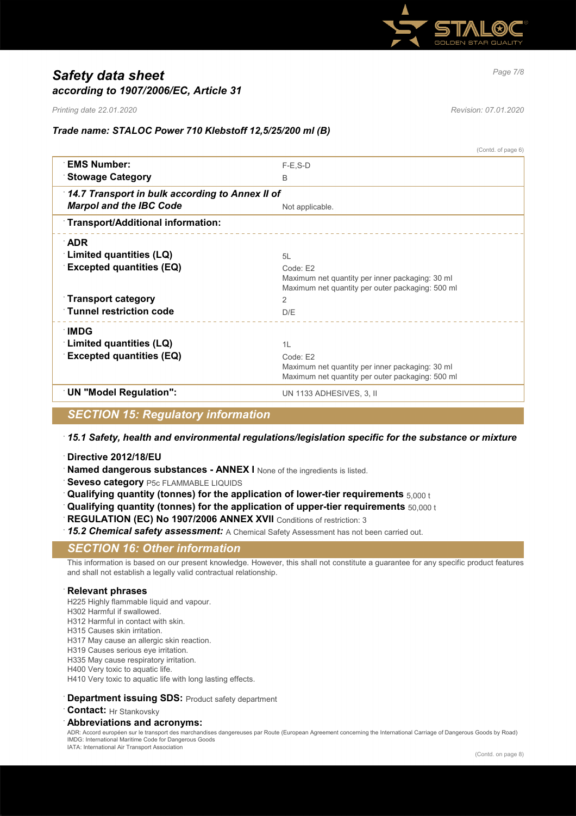

# *Page 7/8 Safety data sheet according to 1907/2006/EC, Article 31*

*Printing date 22.01.2020 Revision: 07.01.2020*

 $(0, \ldots)$  of page  $(0, \ldots)$ 

## *Trade name: STALOC Power 710 Klebstoff 12,5/25/200 ml (B)*

|                                                 | (Comus or page o)                                                  |  |
|-------------------------------------------------|--------------------------------------------------------------------|--|
| <b>EMS Number:</b>                              | $F-E$ , $S-D$                                                      |  |
| <b>Stowage Category</b>                         | B                                                                  |  |
| 14.7 Transport in bulk according to Annex II of |                                                                    |  |
| <b>Marpol and the IBC Code</b>                  | Not applicable.                                                    |  |
| Transport/Additional information:               |                                                                    |  |
| <b>ADR</b>                                      |                                                                    |  |
| <b>Limited quantities (LQ)</b>                  | 51                                                                 |  |
| <b>Excepted quantities (EQ)</b>                 | Code F2                                                            |  |
|                                                 | Maximum net quantity per inner packaging: 30 ml                    |  |
| $\lceil$ Transport category                     | Maximum net quantity per outer packaging: 500 ml<br>$\overline{2}$ |  |
|                                                 |                                                                    |  |
| <b>Tunnel restriction code</b>                  | D/E                                                                |  |
| ∶IMDG                                           |                                                                    |  |
| Limited quantities (LQ)                         | 1L                                                                 |  |
| <b>Excepted quantities (EQ)</b>                 | Code: E2                                                           |  |
|                                                 | Maximum net quantity per inner packaging: 30 ml                    |  |
|                                                 | Maximum net quantity per outer packaging: 500 ml                   |  |
| <b>UN "Model Regulation":</b>                   | UN 1133 ADHESIVES, 3, II                                           |  |
|                                                 |                                                                    |  |

## *SECTION 15: Regulatory information*

### · *15.1 Safety, health and environmental regulations/legislation specific for the substance or mixture*

- · **Directive 2012/18/EU**
- **Named dangerous substances ANNEX I** None of the ingredients is listed.
- **Seveso category** P5c FLAMMABLE LIQUIDS
- · **Qualifying quantity (tonnes) for the application of lower-tier requirements** 5,000 t
- · **Qualifying quantity (tonnes) for the application of upper-tier requirements** 50,000 t
- **REGULATION (EC) No 1907/2006 ANNEX XVII** Conditions of restriction: 3
- 15.2 Chemical safety assessment: A Chemical Safety Assessment has not been carried out.

## *SECTION 16: Other information*

This information is based on our present knowledge. However, this shall not constitute a guarantee for any specific product features and shall not establish a legally valid contractual relationship.

### · **Relevant phrases**

- H225 Highly flammable liquid and vapour.
- H302 Harmful if swallowed.
- H312 Harmful in contact with skin.
- H315 Causes skin irritation.
- H317 May cause an allergic skin reaction.
- H319 Causes serious eye irritation.
- H335 May cause respiratory irritation.
- H400 Very toxic to aquatic life.
- H410 Very toxic to aquatic life with long lasting effects.

#### **Department issuing SDS: Product safety department**

**Contact:** Hr Stankovsky

#### · **Abbreviations and acronyms:**

ADR: Accord européen sur le transport des marchandises dangereuses par Route (European Agreement concerning the International Carriage of Dangerous Goods by Road) IMDG: International Maritime Code for Dangerous Goods IATA: International Air Transport Association